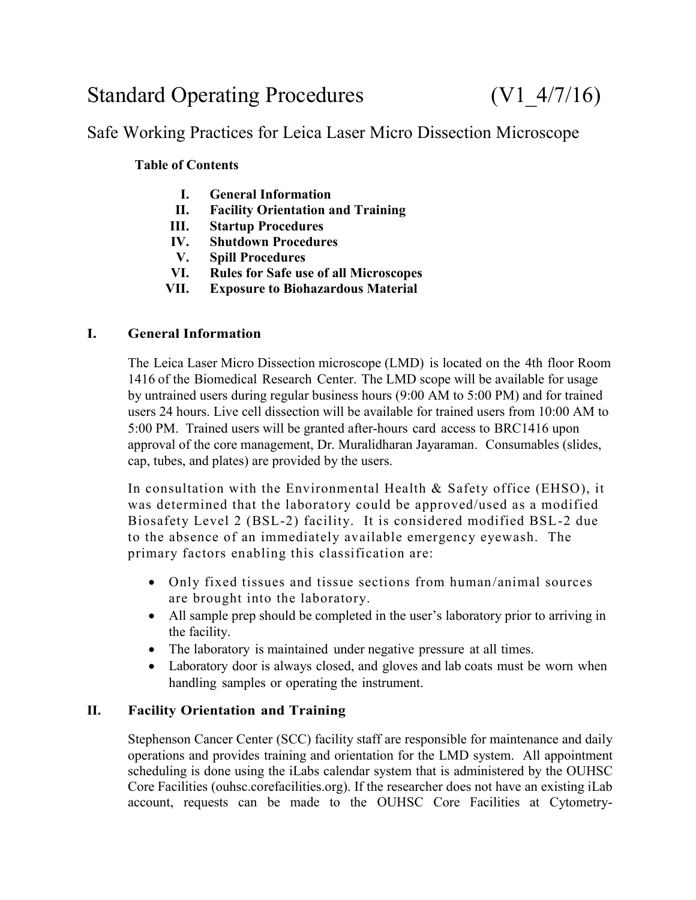# Standard Operating Procedures (V1\_4/7/16)

# Safe Working Practices for Leica Laser Micro Dissection Microscope

### **Table of Contents**

- **I. General Information**
- **II. Facility Orientation and Training**
- **III. Startup Procedures**
- **IV. Shutdown Procedures**
- **V. Spill Procedures**
- **VI. Rules for Safe use of all Microscopes**
- **VII. Exposure to Biohazardous Material**

#### **I. General Information**

The Leica Laser Micro Dissection microscope (LMD) is located on the 4th floor Room 1416 of the Biomedical Research Center. The LMD scope will be available for usage by untrained users during regular business hours (9:00 AM to 5:00 PM) and for trained users 24 hours. Live cell dissection will be available for trained users from 10:00 AM to 5:00 PM. Trained users will be granted after-hours card access to BRC1416 upon approval of the core management, Dr. Muralidharan Jayaraman. Consumables (slides, cap, tubes, and plates) are provided by the users.

In consultation with the Environmental Health & Safety office (EHSO), it was determined that the laboratory could be approved/used as a modified Biosafety Level 2 (BSL-2) facility. It is considered modified BSL-2 due to the absence of an immediately available emergency eyewash. The primary factors enabling this classification are:

- Only fixed tissues and tissue sections from human/animal sources are brought into the laboratory.
- All sample prep should be completed in the user's laboratory prior to arriving in the facility.
- The laboratory is maintained under negative pressure at all times.
- Laboratory door is always closed, and gloves and lab coats must be worn when handling samples or operating the instrument.

#### **II. Facility Orientation and Training**

Stephenson Cancer Center (SCC) facility staff are responsible for maintenance and daily operations and provides training and orientation for the LMD system. All appointment scheduling is done using the iLabs calendar system that is administered by the OUHSC Core Facilities (ouhsc.corefacilities.org). If the researcher does not have an existing iLab account, requests can be made to the OUHSC Core Facilities at Cytometry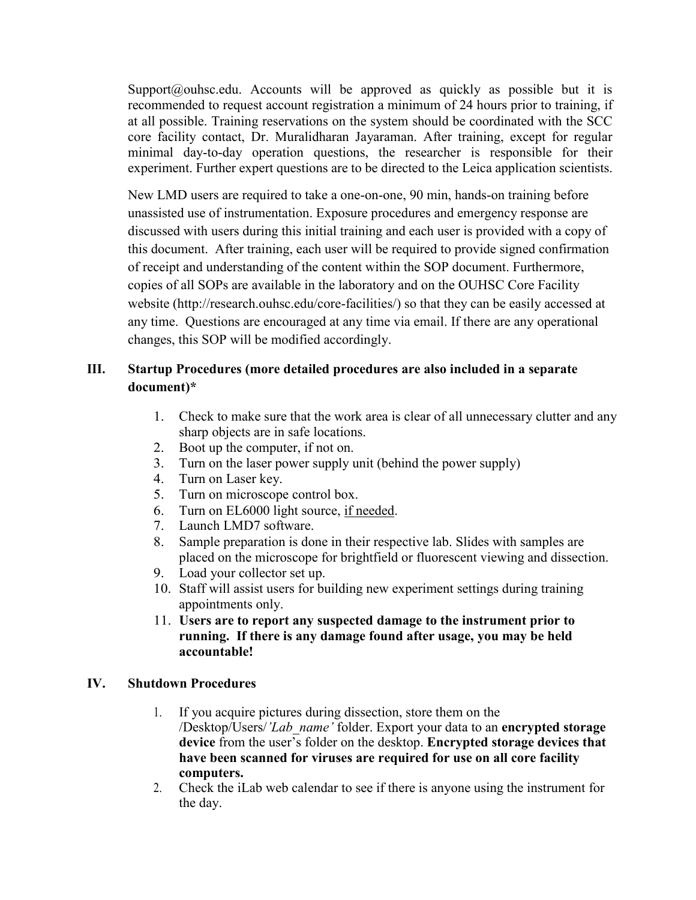Support@ouhsc.edu. Accounts will be approved as quickly as possible but it is recommended to request account registration a minimum of 24 hours prior to training, if at all possible. Training reservations on the system should be coordinated with the SCC core facility contact, Dr. Muralidharan Jayaraman. After training, except for regular minimal day-to-day operation questions, the researcher is responsible for their experiment. Further expert questions are to be directed to the Leica application scientists.

New LMD users are required to take a one-on-one, 90 min, hands-on training before unassisted use of instrumentation. Exposure procedures and emergency response are discussed with users during this initial training and each user is provided with a copy of this document. After training, each user will be required to provide signed confirmation of receipt and understanding of the content within the SOP document. Furthermore, copies of all SOPs are available in the laboratory and on the OUHSC Core Facility website (http://research.ouhsc.edu/core-facilities/) so that they can be easily accessed at any time. Questions are encouraged at any time via email. If there are any operational changes, this SOP will be modified accordingly.

# **III. Startup Procedures (more detailed procedures are also included in a separate document)\***

- 1. Check to make sure that the work area is clear of all unnecessary clutter and any sharp objects are in safe locations.
- 2. Boot up the computer, if not on.
- 3. Turn on the laser power supply unit (behind the power supply)
- 4. Turn on Laser key.
- 5. Turn on microscope control box.
- 6. Turn on EL6000 light source, if needed.
- 7. Launch LMD7 software.
- 8. Sample preparation is done in their respective lab. Slides with samples are placed on the microscope for brightfield or fluorescent viewing and dissection.
- 9. Load your collector set up.
- 10. Staff will assist users for building new experiment settings during training appointments only.
- 11. **Users are to report any suspected damage to the instrument prior to running. If there is any damage found after usage, you may be held accountable!**

#### **IV. Shutdown Procedures**

- 1. If you acquire pictures during dissection, store them on the /Desktop/Users/*'Lab\_name'* folder. Export your data to an **encrypted storage device** from the user's folder on the desktop. **Encrypted storage devices that have been scanned for viruses are required for use on all core facility computers.**
- 2. Check the iLab web calendar to see if there is anyone using the instrument for the day.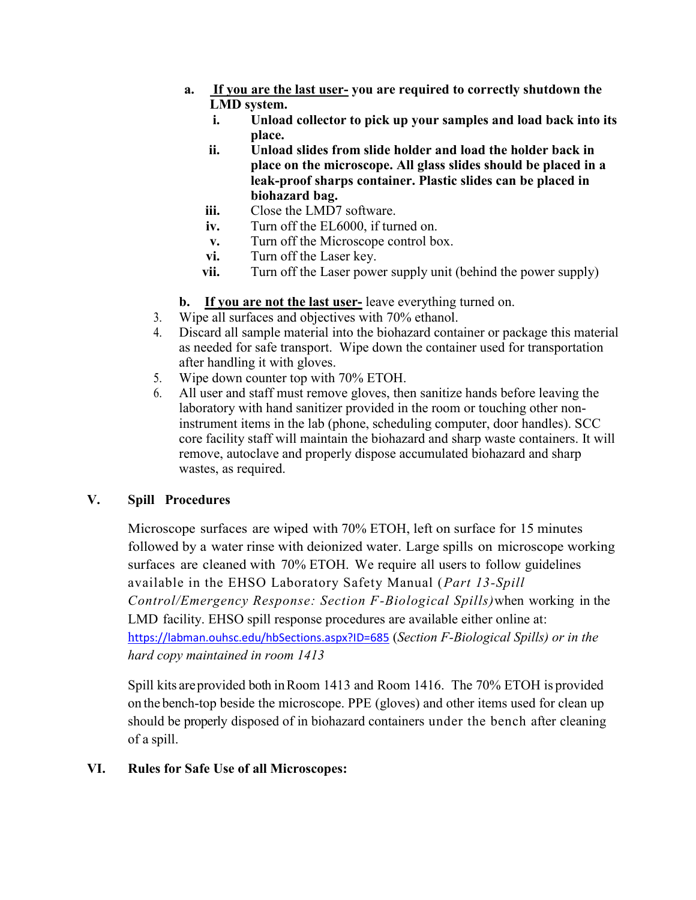- **a. If you are the last user- you are required to correctly shutdown the LMD system.**
	- **i. Unload collector to pick up your samples and load back into its place.**
	- **ii. Unload slides from slide holder and load the holder back in place on the microscope. All glass slides should be placed in a leak-proof sharps container. Plastic slides can be placed in biohazard bag.**
	- **iii.** Close the LMD7 software.
	- **iv.** Turn off the EL6000, if turned on.
	- **v.** Turn off the Microscope control box.
	- **vi.** Turn off the Laser key.
	- **vii.** Turn off the Laser power supply unit (behind the power supply)
- **b. If you are not the last user-** leave everything turned on.
- 3. Wipe all surfaces and objectives with 70% ethanol.
- 4. Discard all sample material into the biohazard container or package this material as needed for safe transport. Wipe down the container used for transportation after handling it with gloves.
- 5. Wipe down counter top with 70% ETOH.
- 6. All user and staff must remove gloves, then sanitize hands before leaving the laboratory with hand sanitizer provided in the room or touching other noninstrument items in the lab (phone, scheduling computer, door handles). SCC core facility staff will maintain the biohazard and sharp waste containers. It will remove, autoclave and properly dispose accumulated biohazard and sharp wastes, as required.

#### **V. Spill Procedures**

Microscope surfaces are wiped with 70% ETOH, left on surface for 15 minutes followed by a water rinse with deionized water. Large spills on microscope working surfaces are cleaned with 70% ETOH. We require all users to follow guidelines available in the EHSO Laboratory Safety Manual (*Part 13-Spill Control/Emergency Response: Section F-Biological Spills)*when working in the LMD facility. EHSO spill response procedures are available either online at: h[ttps://labman.ouhsc.edu/hbSections.aspx?ID=685](https://labman.ouhsc.edu/hbSections.aspx?ID=685) (*Section F-Biological Spills) or in the hard copy maintained in room 1413*

Spill kits areprovided both inRoom 1413 and Room 1416. The 70% ETOH is provided on the bench-top beside the microscope. PPE (gloves) and other items used for clean up should be properly disposed of in biohazard containers under the bench after cleaning of a spill.

#### **VI. Rules for Safe Use of all Microscopes:**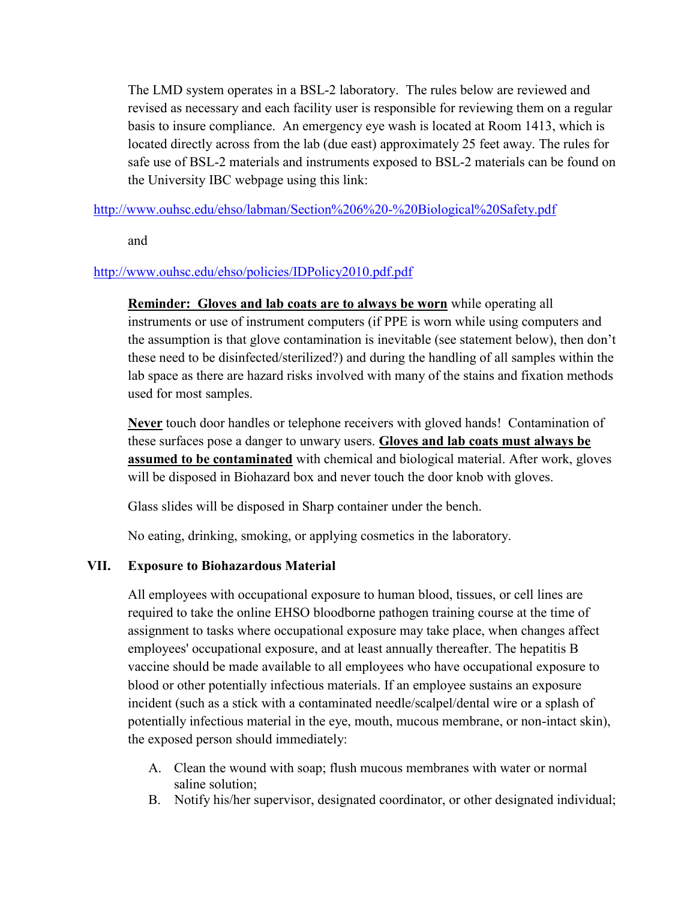The LMD system operates in a BSL-2 laboratory. The rules below are reviewed and revised as necessary and each facility user is responsible for reviewing them on a regular basis to insure compliance. An emergency eye wash is located at Room 1413, which is located directly across from the lab (due east) approximately 25 feet away. The rules for safe use of BSL-2 materials and instruments exposed to BSL-2 materials can be found on the University IBC webpage using this link:

<http://www.ouhsc.edu/ehso/labman/Section%206%20-%20Biological%20Safety.pdf>

and

#### <http://www.ouhsc.edu/ehso/policies/IDPolicy2010.pdf.pdf>

**Reminder: Gloves and lab coats are to always be worn** while operating all instruments or use of instrument computers (if PPE is worn while using computers and the assumption is that glove contamination is inevitable (see statement below), then don't these need to be disinfected/sterilized?) and during the handling of all samples within the lab space as there are hazard risks involved with many of the stains and fixation methods used for most samples.

**Never** touch door handles or telephone receivers with gloved hands! Contamination of these surfaces pose a danger to unwary users. **Gloves and lab coats must always be assumed to be contaminated** with chemical and biological material. After work, gloves will be disposed in Biohazard box and never touch the door knob with gloves.

Glass slides will be disposed in Sharp container under the bench.

No eating, drinking, smoking, or applying cosmetics in the laboratory.

## **VII. Exposure to Biohazardous Material**

All employees with occupational exposure to human blood, tissues, or cell lines are required to take the online EHSO bloodborne pathogen training course at the time of assignment to tasks where occupational exposure may take place, when changes affect employees' occupational exposure, and at least annually thereafter. The hepatitis B vaccine should be made available to all employees who have occupational exposure to blood or other potentially infectious materials. If an employee sustains an exposure incident (such as a stick with a contaminated needle/scalpel/dental wire or a splash of potentially infectious material in the eye, mouth, mucous membrane, or non-intact skin), the exposed person should immediately:

- A. Clean the wound with soap; flush mucous membranes with water or normal saline solution;
- B. Notify his/her supervisor, designated coordinator, or other designated individual;